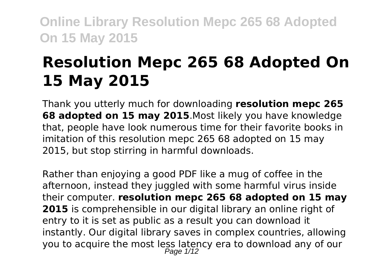# **Resolution Mepc 265 68 Adopted On 15 May 2015**

Thank you utterly much for downloading **resolution mepc 265 68 adopted on 15 may 2015**.Most likely you have knowledge that, people have look numerous time for their favorite books in imitation of this resolution mepc 265 68 adopted on 15 may 2015, but stop stirring in harmful downloads.

Rather than enjoying a good PDF like a mug of coffee in the afternoon, instead they juggled with some harmful virus inside their computer. **resolution mepc 265 68 adopted on 15 may 2015** is comprehensible in our digital library an online right of entry to it is set as public as a result you can download it instantly. Our digital library saves in complex countries, allowing you to acquire the most less latency era to download any of our Page  $1/12$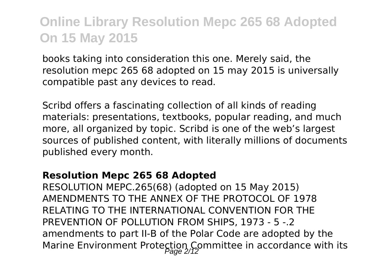books taking into consideration this one. Merely said, the resolution mepc 265 68 adopted on 15 may 2015 is universally compatible past any devices to read.

Scribd offers a fascinating collection of all kinds of reading materials: presentations, textbooks, popular reading, and much more, all organized by topic. Scribd is one of the web's largest sources of published content, with literally millions of documents published every month.

#### **Resolution Mepc 265 68 Adopted**

RESOLUTION MEPC.265(68) (adopted on 15 May 2015) AMENDMENTS TO THE ANNEX OF THE PROTOCOL OF 1978 RELATING TO THE INTERNATIONAL CONVENTION FOR THE PREVENTION OF POLLUTION FROM SHIPS, 1973 - 5 -.2 amendments to part II-B of the Polar Code are adopted by the Marine Environment Protection Committee in accordance with its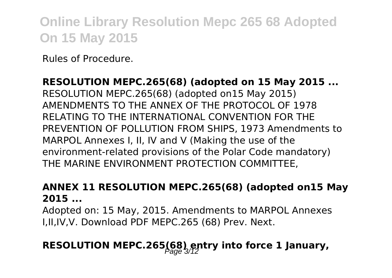Rules of Procedure.

**RESOLUTION MEPC.265(68) (adopted on 15 May 2015 ...** RESOLUTION MEPC.265(68) (adopted on15 May 2015) AMENDMENTS TO THE ANNEX OF THE PROTOCOL OF 1978 RELATING TO THE INTERNATIONAL CONVENTION FOR THE PREVENTION OF POLLUTION FROM SHIPS, 1973 Amendments to MARPOL Annexes I, II, IV and V (Making the use of the environment-related provisions of the Polar Code mandatory) THE MARINE ENVIRONMENT PROTECTION COMMITTEE,

#### **ANNEX 11 RESOLUTION MEPC.265(68) (adopted on15 May 2015 ...**

Adopted on: 15 May, 2015. Amendments to MARPOL Annexes I,II,IV,V. Download PDF MEPC.265 (68) Prev. Next.

### **RESOLUTION MEPC.265(68) entry into force 1 January,**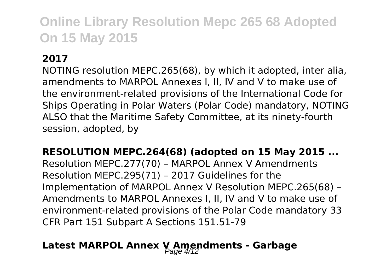#### **2017**

NOTING resolution MEPC.265(68), by which it adopted, inter alia, amendments to MARPOL Annexes I, II, IV and V to make use of the environment-related provisions of the International Code for Ships Operating in Polar Waters (Polar Code) mandatory, NOTING ALSO that the Maritime Safety Committee, at its ninety-fourth session, adopted, by

**RESOLUTION MEPC.264(68) (adopted on 15 May 2015 ...** Resolution MEPC.277(70) – MARPOL Annex V Amendments Resolution MEPC.295(71) – 2017 Guidelines for the Implementation of MARPOL Annex V Resolution MEPC.265(68) – Amendments to MARPOL Annexes I, II, IV and V to make use of environment-related provisions of the Polar Code mandatory 33 CFR Part 151 Subpart A Sections 151.51-79

### Latest MARPOL Annex V Amendments - Garbage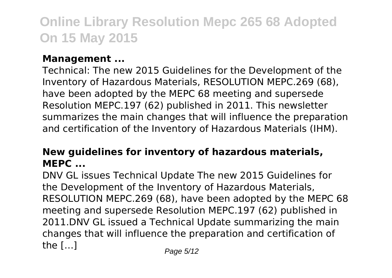#### **Management ...**

Technical: The new 2015 Guidelines for the Development of the Inventory of Hazardous Materials, RESOLUTION MEPC.269 (68), have been adopted by the MEPC 68 meeting and supersede Resolution MEPC.197 (62) published in 2011. This newsletter summarizes the main changes that will influence the preparation and certification of the Inventory of Hazardous Materials (IHM).

#### **New guidelines for inventory of hazardous materials, MEPC ...**

DNV GL issues Technical Update The new 2015 Guidelines for the Development of the Inventory of Hazardous Materials, RESOLUTION MEPC.269 (68), have been adopted by the MEPC 68 meeting and supersede Resolution MEPC.197 (62) published in 2011.DNV GL issued a Technical Update summarizing the main changes that will influence the preparation and certification of the  $\left[ \ldots \right]$  Page 5/12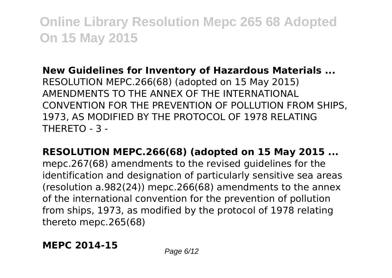**New Guidelines for Inventory of Hazardous Materials ...** RESOLUTION MEPC.266(68) (adopted on 15 May 2015) AMENDMENTS TO THE ANNEX OF THE INTERNATIONAL CONVENTION FOR THE PREVENTION OF POLLUTION FROM SHIPS, 1973, AS MODIFIED BY THE PROTOCOL OF 1978 RELATING THERETO - 3 -

**RESOLUTION MEPC.266(68) (adopted on 15 May 2015 ...** mepc.267(68) amendments to the revised guidelines for the identification and designation of particularly sensitive sea areas (resolution a.982(24)) mepc.266(68) amendments to the annex of the international convention for the prevention of pollution from ships, 1973, as modified by the protocol of 1978 relating thereto mepc.265(68)

**MEPC 2014-15** Page 6/12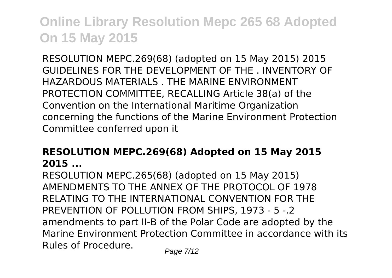RESOLUTION MEPC.269(68) (adopted on 15 May 2015) 2015 GUIDELINES FOR THE DEVELOPMENT OF THE . INVENTORY OF HAZARDOUS MATERIALS . THE MARINE ENVIRONMENT PROTECTION COMMITTEE, RECALLING Article 38(a) of the Convention on the International Maritime Organization concerning the functions of the Marine Environment Protection Committee conferred upon it

#### **RESOLUTION MEPC.269(68) Adopted on 15 May 2015 2015 ...**

RESOLUTION MEPC.265(68) (adopted on 15 May 2015) AMENDMENTS TO THE ANNEX OF THE PROTOCOL OF 1978 RELATING TO THE INTERNATIONAL CONVENTION FOR THE PREVENTION OF POLLUTION FROM SHIPS, 1973 - 5 -.2 amendments to part II-B of the Polar Code are adopted by the Marine Environment Protection Committee in accordance with its Rules of Procedure. Page 7/12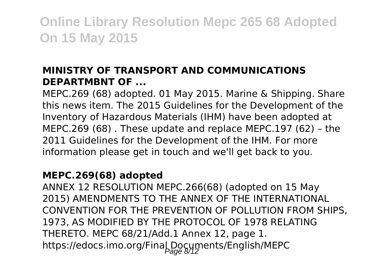#### **MINISTRY OF TRANSPORT AND COMMUNICATIONS DEPARTMBNT OF ...**

MEPC.269 (68) adopted. 01 May 2015. Marine & Shipping. Share this news item. The 2015 Guidelines for the Development of the Inventory of Hazardous Materials (IHM) have been adopted at MEPC.269 (68) . These update and replace MEPC.197 (62) – the 2011 Guidelines for the Development of the IHM. For more information please get in touch and we'll get back to you.

#### **MEPC.269(68) adopted**

ANNEX 12 RESOLUTION MEPC.266(68) (adopted on 15 May 2015) AMENDMENTS TO THE ANNEX OF THE INTERNATIONAL CONVENTION FOR THE PREVENTION OF POLLUTION FROM SHIPS, 1973, AS MODIFIED BY THE PROTOCOL OF 1978 RELATING THERETO. MEPC 68/21/Add.1 Annex 12, page 1. https://edocs.imo.org/Final Documents/English/MEPC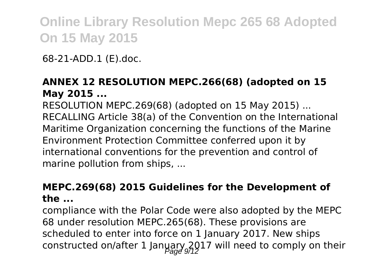68-21-ADD.1 (E).doc.

#### **ANNEX 12 RESOLUTION MEPC.266(68) (adopted on 15 May 2015 ...**

RESOLUTION MEPC.269(68) (adopted on 15 May 2015) ... RECALLING Article 38(a) of the Convention on the International Maritime Organization concerning the functions of the Marine Environment Protection Committee conferred upon it by international conventions for the prevention and control of marine pollution from ships, ...

#### **MEPC.269(68) 2015 Guidelines for the Development of the ...**

compliance with the Polar Code were also adopted by the MEPC 68 under resolution MEPC.265(68). These provisions are scheduled to enter into force on 1 January 2017. New ships constructed on/after 1 January 2017 will need to comply on their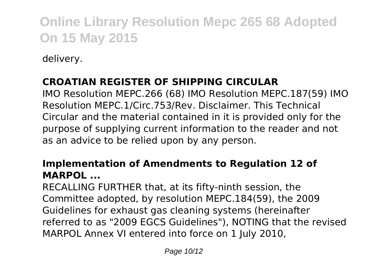delivery.

#### **CROATIAN REGISTER OF SHIPPING CIRCULAR**

IMO Resolution MEPC.266 (68) IMO Resolution MEPC.187(59) IMO Resolution MEPC.1/Circ.753/Rev. Disclaimer. This Technical Circular and the material contained in it is provided only for the purpose of supplying current information to the reader and not as an advice to be relied upon by any person.

#### **Implementation of Amendments to Regulation 12 of MARPOL**

RECALLING FURTHER that, at its fifty-ninth session, the Committee adopted, by resolution MEPC.184(59), the 2009 Guidelines for exhaust gas cleaning systems (hereinafter referred to as "2009 EGCS Guidelines"), NOTING that the revised MARPOL Annex VI entered into force on 1 July 2010,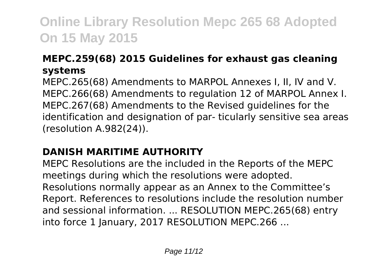#### **MEPC.259(68) 2015 Guidelines for exhaust gas cleaning systems**

MEPC.265(68) Amendments to MARPOL Annexes I, II, IV and V. MEPC.266(68) Amendments to regulation 12 of MARPOL Annex I. MEPC.267(68) Amendments to the Revised guidelines for the identification and designation of par- ticularly sensitive sea areas (resolution A.982(24)).

#### **DANISH MARITIME AUTHORITY**

MEPC Resolutions are the included in the Reports of the MEPC meetings during which the resolutions were adopted. Resolutions normally appear as an Annex to the Committee's Report. References to resolutions include the resolution number and sessional information. ... RESOLUTION MEPC.265(68) entry into force 1 January, 2017 RESOLUTION MEPC.266 ...